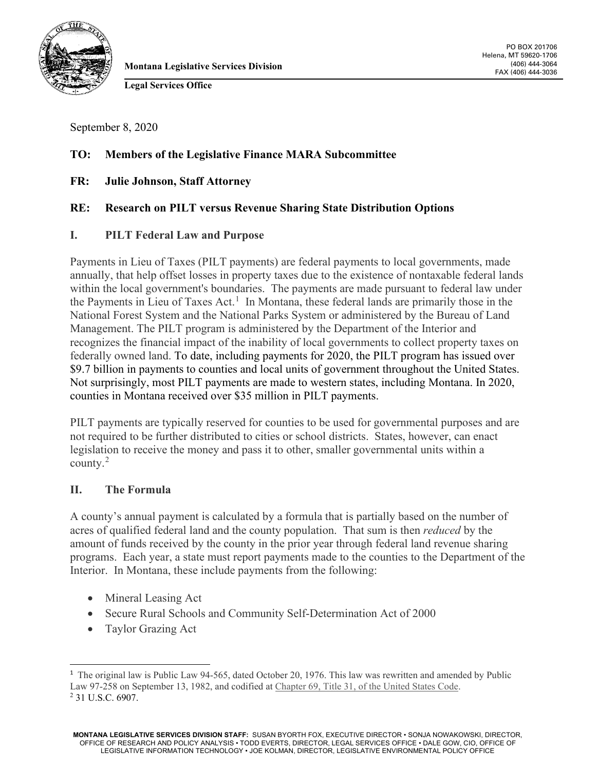

FAX (406) 444-3036 **Montana Legislative Services Division**

PO BOX 201706 Helena, MT 59620-1706 (406) 444-3064

**Legal Services Office**

September 8, 2020

## **TO: Members of the Legislative Finance MARA Subcommittee**

**FR: Julie Johnson, Staff Attorney**

## **RE: Research on PILT versus Revenue Sharing State Distribution Options**

#### **I. PILT Federal Law and Purpose**

Payments in Lieu of Taxes (PILT payments) are federal payments to local governments, made annually, that help offset losses in property taxes due to the existence of nontaxable federal lands within the local government's boundaries. The payments are made pursuant to federal law under the Payments in Lieu of Taxes Act.<sup>[1](#page-0-0)</sup> In Montana, these federal lands are primarily those in the National Forest System and the National Parks System or administered by the Bureau of Land Management. The PILT program is administered by the Department of the Interior and recognizes the financial impact of the inability of local governments to collect property taxes on federally owned land. To date, including payments for 2020, the PILT program has issued over \$9.7 billion in payments to counties and local units of government throughout the United States. Not surprisingly, most PILT payments are made to western states, including Montana. In 2020, counties in Montana received over \$35 million in PILT payments.

PILT payments are typically reserved for counties to be used for governmental purposes and are not required to be further distributed to cities or school districts. States, however, can enact legislation to receive the money and pass it to other, smaller governmental units within a county.[2](#page-0-1)

## **II. The Formula**

A county's annual payment is calculated by a formula that is partially based on the number of acres of qualified federal land and the county population. That sum is then *reduced* by the amount of funds received by the county in the prior year through federal land revenue sharing programs. Each year, a state must report payments made to the counties to the Department of the Interior. In Montana, these include payments from the following:

- Mineral Leasing Act
- Secure Rural Schools and Community Self-Determination Act of 2000
- Taylor Grazing Act

<span id="page-0-1"></span><span id="page-0-0"></span><sup>&</sup>lt;sup>1</sup> The original law is Public Law 94-565, dated October 20, 1976. This law was rewritten and amended by Public Law 97-258 on September 13, 1982, and codified at Chapter 69, Title 31, [of the United States Code.](https://www.doi.gov/pilt/chapter-69) <sup>2</sup> 31 U.S.C. 6907.

**MONTANA LEGISLATIVE SERVICES DIVISION STAFF:** SUSAN BYORTH FOX, EXECUTIVE DIRECTOR • SONJA NOWAKOWSKI, DIRECTOR, OFFICE OF RESEARCH AND POLICY ANALYSIS • TODD EVERTS, DIRECTOR, LEGAL SERVICES OFFICE • DALE GOW, CIO, OFFICE OF LEGISLATIVE INFORMATION TECHNOLOGY • JOE KOLMAN, DIRECTOR, LEGISLATIVE ENVIRONMENTAL POLICY OFFICE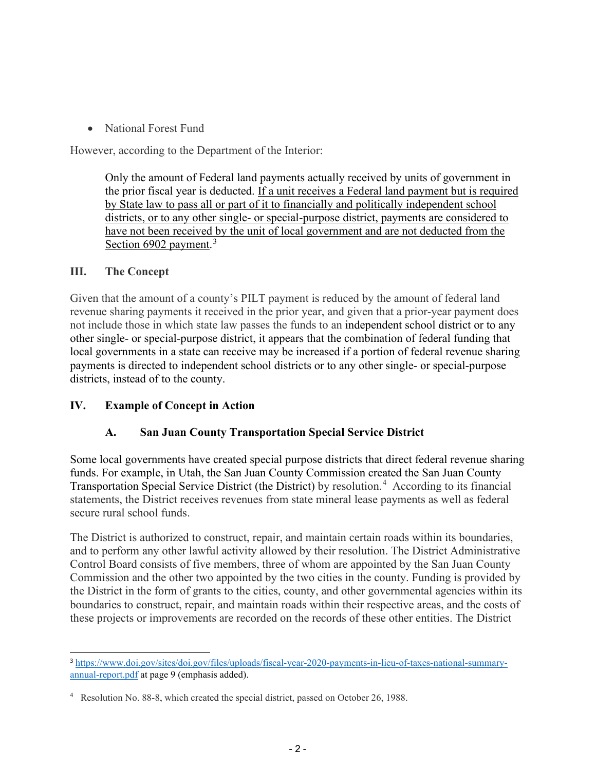• National Forest Fund

However, according to the Department of the Interior:

Only the amount of Federal land payments actually received by units of government in the prior fiscal year is deducted. If a unit receives a Federal land payment but is required by State law to pass all or part of it to financially and politically independent school districts, or to any other single- or special-purpose district, payments are considered to have not been received by the unit of local government and are not deducted from the Section 6902 payment.<sup>[3](#page-1-0)</sup>

## **III. The Concept**

Given that the amount of a county's PILT payment is reduced by the amount of federal land revenue sharing payments it received in the prior year, and given that a prior-year payment does not include those in which state law passes the funds to an independent school district or to any other single- or special-purpose district, it appears that the combination of federal funding that local governments in a state can receive may be increased if a portion of federal revenue sharing payments is directed to independent school districts or to any other single- or special-purpose districts, instead of to the county.

# **IV. Example of Concept in Action**

# **A. San Juan County Transportation Special Service District**

Some local governments have created special purpose districts that direct federal revenue sharing funds. For example, in Utah, the San Juan County Commission created the San Juan County Transportation Special Service District (the District) by resolution. [4](#page-1-1) According to its financial statements, the District receives revenues from state mineral lease payments as well as federal secure rural school funds.

The District is authorized to construct, repair, and maintain certain roads within its boundaries, and to perform any other lawful activity allowed by their resolution. The District Administrative Control Board consists of five members, three of whom are appointed by the San Juan County Commission and the other two appointed by the two cities in the county. Funding is provided by the District in the form of grants to the cities, county, and other governmental agencies within its boundaries to construct, repair, and maintain roads within their respective areas, and the costs of these projects or improvements are recorded on the records of these other entities. The District

<span id="page-1-0"></span><sup>3</sup> [https://www.doi.gov/sites/doi.gov/files/uploads/fiscal-year-2020-payments-in-lieu-of-taxes-national-summary](https://www.doi.gov/sites/doi.gov/files/uploads/fiscal-year-2020-payments-in-lieu-of-taxes-national-summary-annual-report.pdf)[annual-report.pdf](https://www.doi.gov/sites/doi.gov/files/uploads/fiscal-year-2020-payments-in-lieu-of-taxes-national-summary-annual-report.pdf) at page 9 (emphasis added).

<span id="page-1-1"></span><sup>&</sup>lt;sup>4</sup> Resolution No. 88-8, which created the special district, passed on October 26, 1988.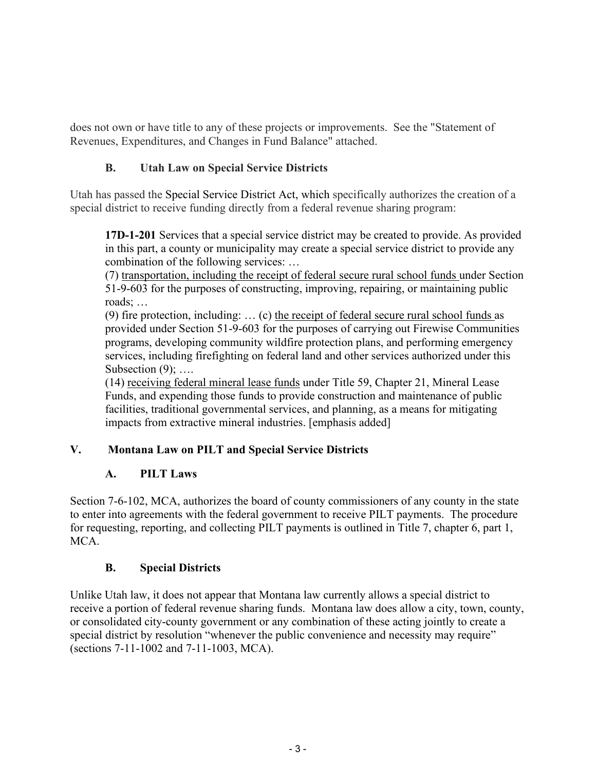does not own or have title to any of these projects or improvements. See the "Statement of Revenues, Expenditures, and Changes in Fund Balance" attached.

# **B. Utah Law on Special Service Districts**

Utah has passed the Special Service District Act, which specifically authorizes the creation of a special district to receive funding directly from a federal revenue sharing program:

**17D-1-201** Services that a special service district may be created to provide. As provided in this part, a county or municipality may create a special service district to provide any combination of the following services: …

(7) transportation, including the receipt of federal secure rural school funds under Section 51-9-603 for the purposes of constructing, improving, repairing, or maintaining public roads; …

(9) fire protection, including: … (c) the receipt of federal secure rural school funds as provided under Section 51-9-603 for the purposes of carrying out Firewise Communities programs, developing community wildfire protection plans, and performing emergency services, including firefighting on federal land and other services authorized under this Subsection  $(9)$ ; ....

(14) receiving federal mineral lease funds under Title 59, Chapter 21, Mineral Lease Funds, and expending those funds to provide construction and maintenance of public facilities, traditional governmental services, and planning, as a means for mitigating impacts from extractive mineral industries. [emphasis added]

# **V. Montana Law on PILT and Special Service Districts**

# **A. PILT Laws**

Section 7-6-102, MCA, authorizes the board of county commissioners of any county in the state to enter into agreements with the federal government to receive PILT payments. The procedure for requesting, reporting, and collecting PILT payments is outlined in Title 7, chapter 6, part 1, MCA.

# **B. Special Districts**

Unlike Utah law, it does not appear that Montana law currently allows a special district to receive a portion of federal revenue sharing funds. Montana law does allow a city, town, county, or consolidated city-county government or any combination of these acting jointly to create a special district by resolution "whenever the public convenience and necessity may require" (sections 7-11-1002 and 7-11-1003, MCA).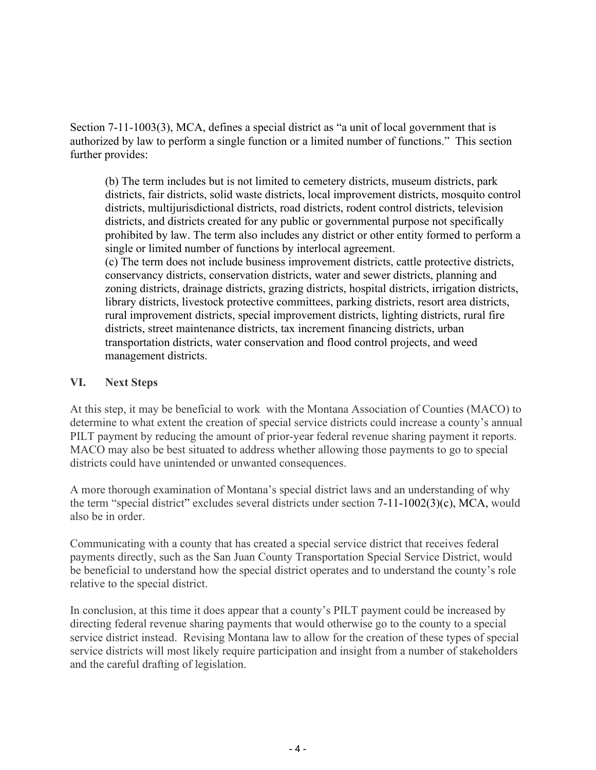Section 7-11-1003(3), MCA, defines a special district as "a unit of local government that is authorized by law to perform a single function or a limited number of functions." This section further provides:

(b) The term includes but is not limited to cemetery districts, museum districts, park districts, fair districts, solid waste districts, local improvement districts, mosquito control districts, multijurisdictional districts, road districts, rodent control districts, television districts, and districts created for any public or governmental purpose not specifically prohibited by law. The term also includes any district or other entity formed to perform a single or limited number of functions by interlocal agreement.

(c) The term does not include business improvement districts, cattle protective districts, conservancy districts, conservation districts, water and sewer districts, planning and zoning districts, drainage districts, grazing districts, hospital districts, irrigation districts, library districts, livestock protective committees, parking districts, resort area districts, rural improvement districts, special improvement districts, lighting districts, rural fire districts, street maintenance districts, tax increment financing districts, urban transportation districts, water conservation and flood control projects, and weed management districts.

### **VI. Next Steps**

At this step, it may be beneficial to work with the Montana Association of Counties (MACO) to determine to what extent the creation of special service districts could increase a county's annual PILT payment by reducing the amount of prior-year federal revenue sharing payment it reports. MACO may also be best situated to address whether allowing those payments to go to special districts could have unintended or unwanted consequences.

A more thorough examination of Montana's special district laws and an understanding of why the term "special district" excludes several districts under section 7-11-1002(3)(c), MCA, would also be in order.

Communicating with a county that has created a special service district that receives federal payments directly, such as the San Juan County Transportation Special Service District, would be beneficial to understand how the special district operates and to understand the county's role relative to the special district.

In conclusion, at this time it does appear that a county's PILT payment could be increased by directing federal revenue sharing payments that would otherwise go to the county to a special service district instead. Revising Montana law to allow for the creation of these types of special service districts will most likely require participation and insight from a number of stakeholders and the careful drafting of legislation.